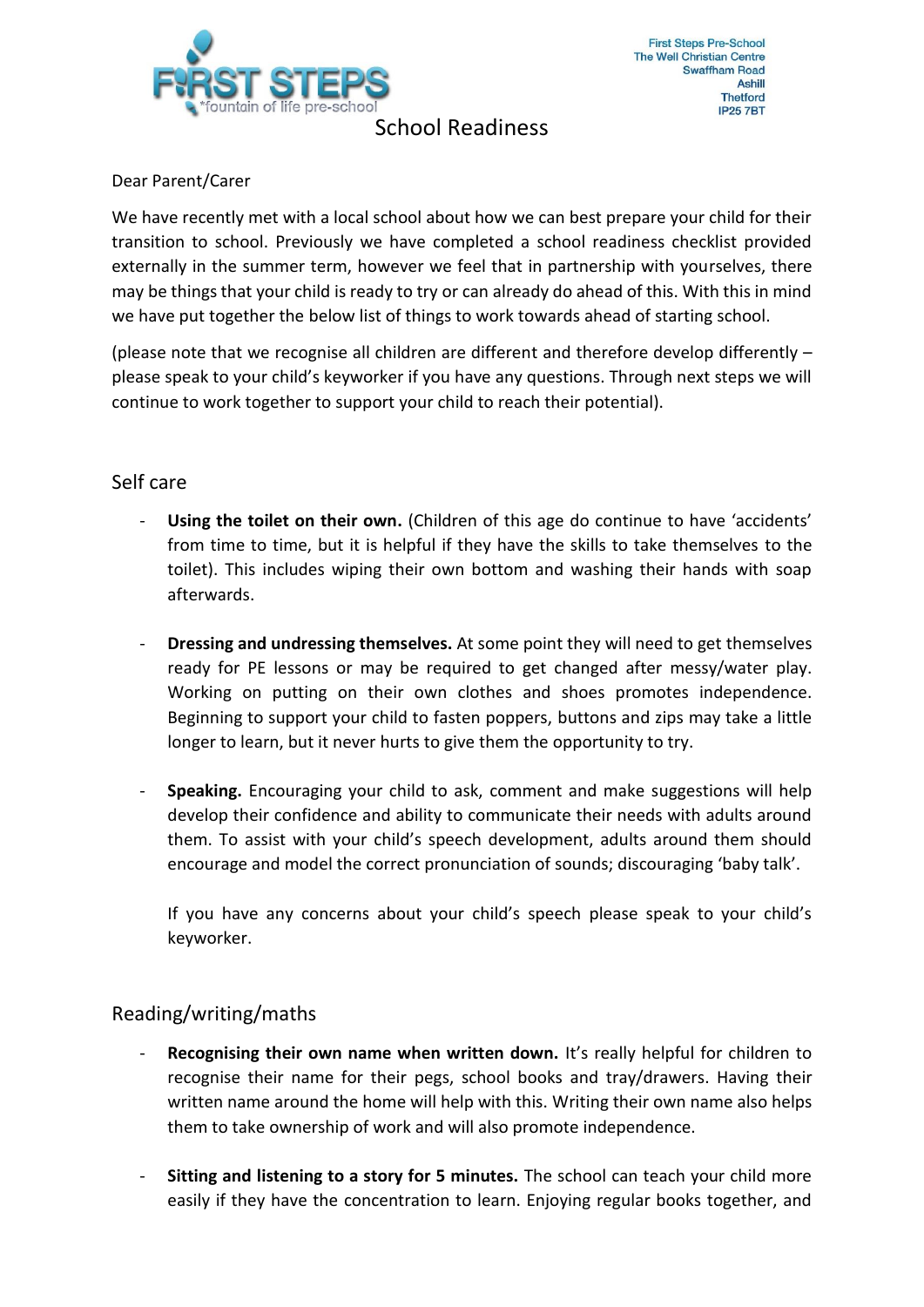

School Readiness

## Dear Parent/Carer

We have recently met with a local school about how we can best prepare your child for their transition to school. Previously we have completed a school readiness checklist provided externally in the summer term, however we feel that in partnership with yourselves, there may be things that your child is ready to try or can already do ahead of this. With this in mind we have put together the below list of things to work towards ahead of starting school.

(please note that we recognise all children are different and therefore develop differently – please speak to your child's keyworker if you have any questions. Through next steps we will continue to work together to support your child to reach their potential).

# Self care

- **Using the toilet on their own.** (Children of this age do continue to have 'accidents' from time to time, but it is helpful if they have the skills to take themselves to the toilet). This includes wiping their own bottom and washing their hands with soap afterwards.
- **Dressing and undressing themselves.** At some point they will need to get themselves ready for PE lessons or may be required to get changed after messy/water play. Working on putting on their own clothes and shoes promotes independence. Beginning to support your child to fasten poppers, buttons and zips may take a little longer to learn, but it never hurts to give them the opportunity to try.
- **Speaking.** Encouraging your child to ask, comment and make suggestions will help develop their confidence and ability to communicate their needs with adults around them. To assist with your child's speech development, adults around them should encourage and model the correct pronunciation of sounds; discouraging 'baby talk'.

If you have any concerns about your child's speech please speak to your child's keyworker.

# Reading/writing/maths

- **Recognising their own name when written down.** It's really helpful for children to recognise their name for their pegs, school books and tray/drawers. Having their written name around the home will help with this. Writing their own name also helps them to take ownership of work and will also promote independence.
- **Sitting and listening to a story for 5 minutes.** The school can teach your child more easily if they have the concentration to learn. Enjoying regular books together, and